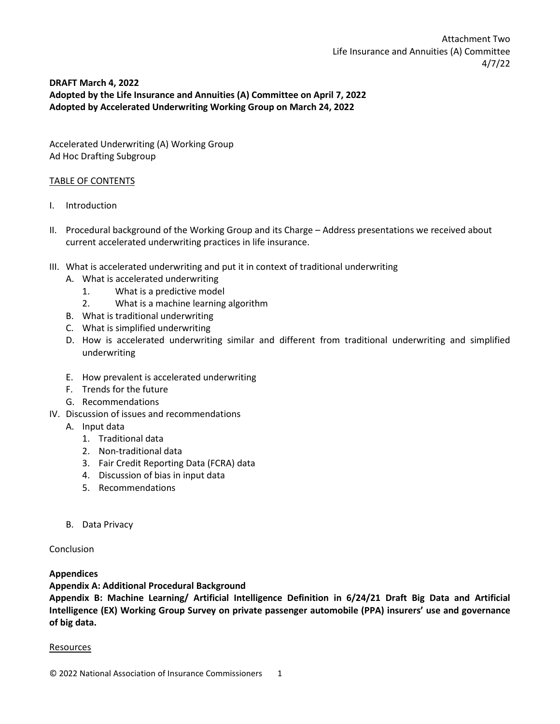# **DRAFT March 4, 2022 Adopted by the Life Insurance and Annuities (A) Committee on April 7, 2022 Adopted by Accelerated Underwriting Working Group on March 24, 2022**

Accelerated Underwriting (A) Working Group Ad Hoc Drafting Subgroup

## TABLE OF CONTENTS

- I. Introduction
- II. Procedural background of the Working Group and its Charge Address presentations we received about current accelerated underwriting practices in life insurance.
- III. What is accelerated underwriting and put it in context of traditional underwriting
	- A. What is accelerated underwriting
		- 1. What is a predictive model
		- 2. What is a machine learning algorithm
	- B. What is traditional underwriting
	- C. What is simplified underwriting
	- D. How is accelerated underwriting similar and different from traditional underwriting and simplified underwriting
	- E. How prevalent is accelerated underwriting
	- F. Trends for the future
	- G. Recommendations
- IV. Discussion of issues and recommendations
	- A. Input data
		- 1. Traditional data
		- 2. Non-traditional data
		- 3. Fair Credit Reporting Data (FCRA) data
		- 4. Discussion of bias in input data
		- 5. Recommendations
	- B. Data Privacy

## Conclusion

## **Appendices**

**Appendix A: Additional Procedural Background**

**Appendix B: Machine Learning/ Artificial Intelligence Definition in 6/24/21 Draft Big Data and Artificial Intelligence (EX) Working Group Survey on private passenger automobile (PPA) insurers' use and governance of big data.**

## **Resources**

© 2022 National Association of Insurance Commissioners 1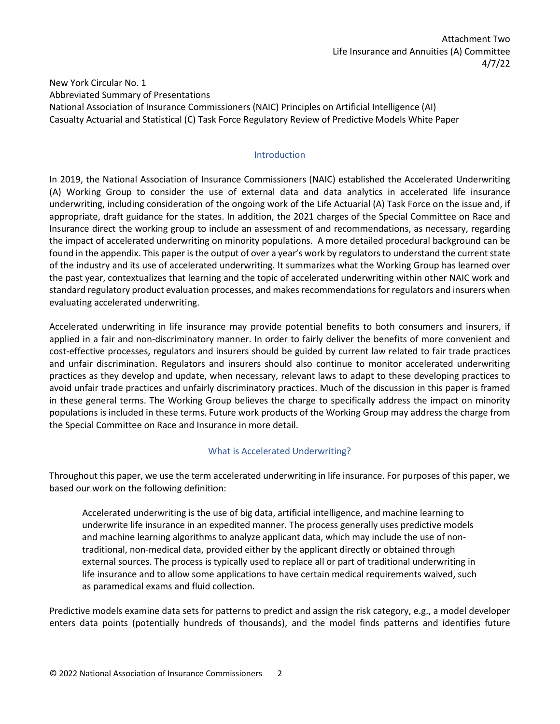New York Circular No. 1 Abbreviated Summary of Presentations National Association of Insurance Commissioners (NAIC) Principles on Artificial Intelligence (AI) Casualty Actuarial and Statistical (C) Task Force Regulatory Review of Predictive Models White Paper

#### Introduction

In 2019, the National Association of Insurance Commissioners (NAIC) established the Accelerated Underwriting (A) Working Group to consider the use of external data and data analytics in accelerated life insurance underwriting, including consideration of the ongoing work of the Life Actuarial (A) Task Force on the issue and, if appropriate, draft guidance for the states. In addition, the 2021 charges of the Special Committee on Race and Insurance direct the working group to include an assessment of and recommendations, as necessary, regarding the impact of accelerated underwriting on minority populations. A more detailed procedural background can be found in the appendix. This paper is the output of over a year's work by regulators to understand the current state of the industry and its use of accelerated underwriting. It summarizes what the Working Group has learned over the past year, contextualizes that learning and the topic of accelerated underwriting within other NAIC work and standard regulatory product evaluation processes, and makes recommendations for regulators and insurers when evaluating accelerated underwriting.

Accelerated underwriting in life insurance may provide potential benefits to both consumers and insurers, if applied in a fair and non-discriminatory manner. In order to fairly deliver the benefits of more convenient and cost-effective processes, regulators and insurers should be guided by current law related to fair trade practices and unfair discrimination. Regulators and insurers should also continue to monitor accelerated underwriting practices as they develop and update, when necessary, relevant laws to adapt to these developing practices to avoid unfair trade practices and unfairly discriminatory practices. Much of the discussion in this paper is framed in these general terms. The Working Group believes the charge to specifically address the impact on minority populations is included in these terms. Future work products of the Working Group may address the charge from the Special Committee on Race and Insurance in more detail.

#### What is Accelerated Underwriting?

Throughout this paper, we use the term accelerated underwriting in life insurance. For purposes of this paper, we based our work on the following definition:

Accelerated underwriting is the use of big data, artificial intelligence, and machine learning to underwrite life insurance in an expedited manner. The process generally uses predictive models and machine learning algorithms to analyze applicant data, which may include the use of nontraditional, non-medical data, provided either by the applicant directly or obtained through external sources. The process is typically used to replace all or part of traditional underwriting in life insurance and to allow some applications to have certain medical requirements waived, such as paramedical exams and fluid collection.

Predictive models examine data sets for patterns to predict and assign the risk category, e.g., a model developer enters data points (potentially hundreds of thousands), and the model finds patterns and identifies future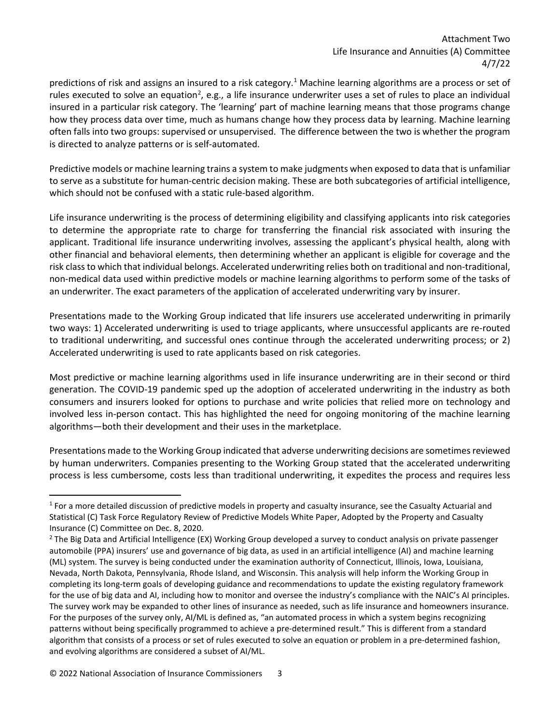predictions of risk and assigns an insured to a risk category.<sup>1</sup> Machine learning algorithms are a process or set of rules executed to solve an equation<sup>2</sup>, e.g., a life insurance underwriter uses a set of rules to place an individual insured in a particular risk category. The 'learning' part of machine learning means that those programs change how they process data over time, much as humans change how they process data by learning. Machine learning often falls into two groups: supervised or unsupervised. The difference between the two is whether the program is directed to analyze patterns or is self-automated.

Predictive models or machine learning trains a system to make judgments when exposed to data that is unfamiliar to serve as a substitute for human-centric decision making. These are both subcategories of artificial intelligence, which should not be confused with a static rule-based algorithm.

Life insurance underwriting is the process of determining eligibility and classifying applicants into risk categories to determine the appropriate rate to charge for transferring the financial risk associated with insuring the applicant. Traditional life insurance underwriting involves, assessing the applicant's physical health, along with other financial and behavioral elements, then determining whether an applicant is eligible for coverage and the risk class to which that individual belongs. Accelerated underwriting relies both on traditional and non-traditional, non-medical data used within predictive models or machine learning algorithms to perform some of the tasks of an underwriter. The exact parameters of the application of accelerated underwriting vary by insurer.

Presentations made to the Working Group indicated that life insurers use accelerated underwriting in primarily two ways: 1) Accelerated underwriting is used to triage applicants, where unsuccessful applicants are re-routed to traditional underwriting, and successful ones continue through the accelerated underwriting process; or 2) Accelerated underwriting is used to rate applicants based on risk categories.

Most predictive or machine learning algorithms used in life insurance underwriting are in their second or third generation. The COVID-19 pandemic sped up the adoption of accelerated underwriting in the industry as both consumers and insurers looked for options to purchase and write policies that relied more on technology and involved less in-person contact. This has highlighted the need for ongoing monitoring of the machine learning algorithms—both their development and their uses in the marketplace.

Presentations made to the Working Group indicated that adverse underwriting decisions are sometimes reviewed by human underwriters. Companies presenting to the Working Group stated that the accelerated underwriting process is less cumbersome, costs less than traditional underwriting, it expedites the process and requires less

<span id="page-2-0"></span><sup>&</sup>lt;sup>1</sup> For a more detailed discussion of predictive models in property and casualty insurance, see the Casualty Actuarial and Statistical (C) Task Force Regulatory Review of Predictive Models White Paper, Adopted by the Property and Casualty Insurance (C) Committee on Dec. 8, 2020.

<span id="page-2-1"></span><sup>&</sup>lt;sup>2</sup> The Big Data and Artificial Intelligence (EX) Working Group developed a survey to conduct analysis on private passenger automobile (PPA) insurers' use and governance of big data, as used in an artificial intelligence (AI) and machine learning (ML) system. The survey is being conducted under the examination authority of Connecticut, Illinois, Iowa, Louisiana, Nevada, North Dakota, Pennsylvania, Rhode Island, and Wisconsin. This analysis will help inform the Working Group in completing its long-term goals of developing guidance and recommendations to update the existing regulatory framework for the use of big data and AI, including how to monitor and oversee the industry's compliance with the NAIC's AI principles. The survey work may be expanded to other lines of insurance as needed, such as life insurance and homeowners insurance. For the purposes of the survey only, AI/ML is defined as, "an automated process in which a system begins recognizing patterns without being specifically programmed to achieve a pre-determined result." This is different from a standard algorithm that consists of a process or set of rules executed to solve an equation or problem in a pre-determined fashion, and evolving algorithms are considered a subset of AI/ML.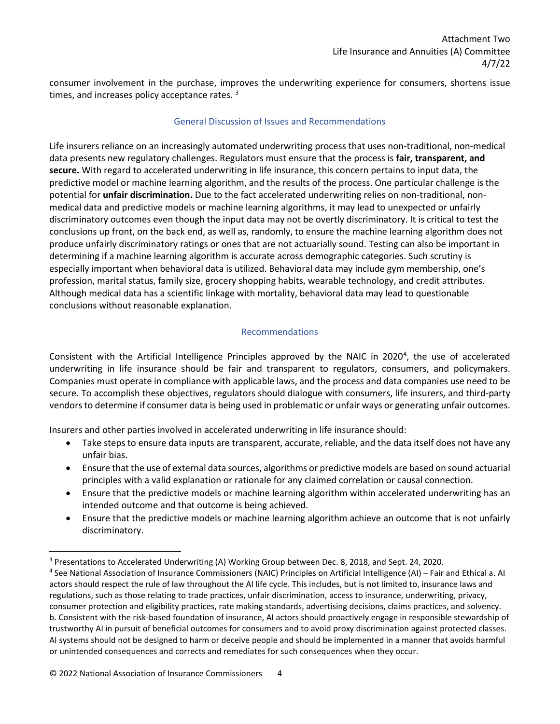consumer involvement in the purchase, improves the underwriting experience for consumers, shortens issue times, and increases policy acceptance rates.<sup>[3](#page-3-0)</sup>

#### General Discussion of Issues and Recommendations

Life insurers reliance on an increasingly automated underwriting process that uses non-traditional, non-medical data presents new regulatory challenges. Regulators must ensure that the process is **fair, transparent, and secure.** With regard to accelerated underwriting in life insurance, this concern pertains to input data, the predictive model or machine learning algorithm, and the results of the process. One particular challenge is the potential for **unfair discrimination.** Due to the fact accelerated underwriting relies on non-traditional, nonmedical data and predictive models or machine learning algorithms, it may lead to unexpected or unfairly discriminatory outcomes even though the input data may not be overtly discriminatory. It is critical to test the conclusions up front, on the back end, as well as, randomly, to ensure the machine learning algorithm does not produce unfairly discriminatory ratings or ones that are not actuarially sound. Testing can also be important in determining if a machine learning algorithm is accurate across demographic categories. Such scrutiny is especially important when behavioral data is utilized. Behavioral data may include gym membership, one's profession, marital status, family size, grocery shopping habits, wearable technology, and credit attributes. Although medical data has a scientific linkage with mortality, behavioral data may lead to questionable conclusions without reasonable explanation.

## Recommendations

Consistent with the Artificial Intelligence Principles approved by the NAIC in 2020<sup>[4](#page-3-1)</sup>, the use of accelerated underwriting in life insurance should be fair and transparent to regulators, consumers, and policymakers. Companies must operate in compliance with applicable laws, and the process and data companies use need to be secure. To accomplish these objectives, regulators should dialogue with consumers, life insurers, and third-party vendors to determine if consumer data is being used in problematic or unfair ways or generating unfair outcomes.

Insurers and other parties involved in accelerated underwriting in life insurance should:

- Take steps to ensure data inputs are transparent, accurate, reliable, and the data itself does not have any unfair bias.
- Ensure that the use of external data sources, algorithms or predictive models are based on sound actuarial principles with a valid explanation or rationale for any claimed correlation or causal connection.
- Ensure that the predictive models or machine learning algorithm within accelerated underwriting has an intended outcome and that outcome is being achieved.
- Ensure that the predictive models or machine learning algorithm achieve an outcome that is not unfairly discriminatory.

<span id="page-3-0"></span><sup>3</sup> Presentations to Accelerated Underwriting (A) Working Group between Dec. 8, 2018, and Sept. 24, 2020.

<span id="page-3-1"></span><sup>4</sup> See National Association of Insurance Commissioners (NAIC) Principles on Artificial Intelligence (AI) – Fair and Ethical a. AI actors should respect the rule of law throughout the AI life cycle. This includes, but is not limited to, insurance laws and regulations, such as those relating to trade practices, unfair discrimination, access to insurance, underwriting, privacy, consumer protection and eligibility practices, rate making standards, advertising decisions, claims practices, and solvency. b. Consistent with the risk-based foundation of insurance, AI actors should proactively engage in responsible stewardship of trustworthy AI in pursuit of beneficial outcomes for consumers and to avoid proxy discrimination against protected classes. AI systems should not be designed to harm or deceive people and should be implemented in a manner that avoids harmful or unintended consequences and corrects and remediates for such consequences when they occur.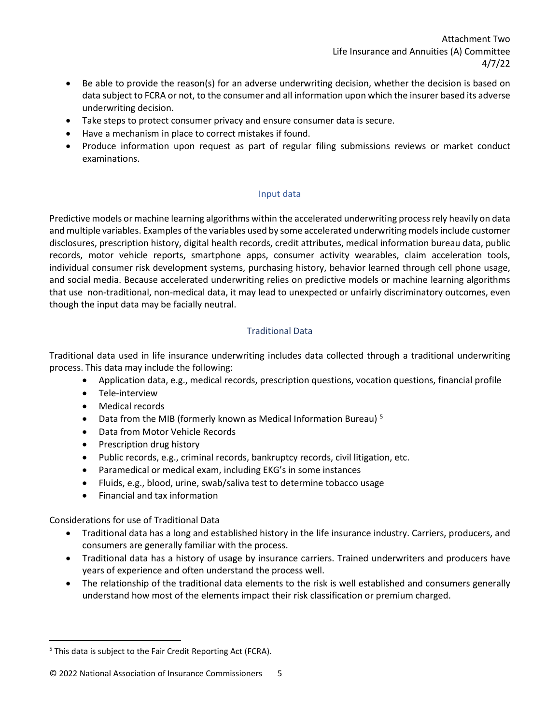- Be able to provide the reason(s) for an adverse underwriting decision, whether the decision is based on data subject to FCRA or not, to the consumer and all information upon which the insurer based its adverse underwriting decision.
- Take steps to protect consumer privacy and ensure consumer data is secure.
- Have a mechanism in place to correct mistakes if found.
- Produce information upon request as part of regular filing submissions reviews or market conduct examinations.

## Input data

Predictive models or machine learning algorithms within the accelerated underwriting process rely heavily on data and multiple variables. Examples of the variables used by some accelerated underwriting models include customer disclosures, prescription history, digital health records, credit attributes, medical information bureau data, public records, motor vehicle reports, smartphone apps, consumer activity wearables, claim acceleration tools, individual consumer risk development systems, purchasing history, behavior learned through cell phone usage, and social media. Because accelerated underwriting relies on predictive models or machine learning algorithms that use non-traditional, non-medical data, it may lead to unexpected or unfairly discriminatory outcomes, even though the input data may be facially neutral.

# Traditional Data

Traditional data used in life insurance underwriting includes data collected through a traditional underwriting process. This data may include the following:

- Application data, e.g., medical records, prescription questions, vocation questions, financial profile
- Tele-interview
- Medical records
- Data from the MIB (formerly known as Medical Information Bureau)<sup>5</sup>
- Data from Motor Vehicle Records
- Prescription drug history
- Public records, e.g., criminal records, bankruptcy records, civil litigation, etc.
- Paramedical or medical exam, including EKG's in some instances
- Fluids, e.g., blood, urine, swab/saliva test to determine tobacco usage
- Financial and tax information

Considerations for use of Traditional Data

- Traditional data has a long and established history in the life insurance industry. Carriers, producers, and consumers are generally familiar with the process.
- Traditional data has a history of usage by insurance carriers. Trained underwriters and producers have years of experience and often understand the process well.
- The relationship of the traditional data elements to the risk is well established and consumers generally understand how most of the elements impact their risk classification or premium charged.

<span id="page-4-0"></span><sup>&</sup>lt;sup>5</sup> This data is subject to the Fair Credit Reporting Act (FCRA).

<sup>© 2022</sup> National Association of Insurance Commissioners 5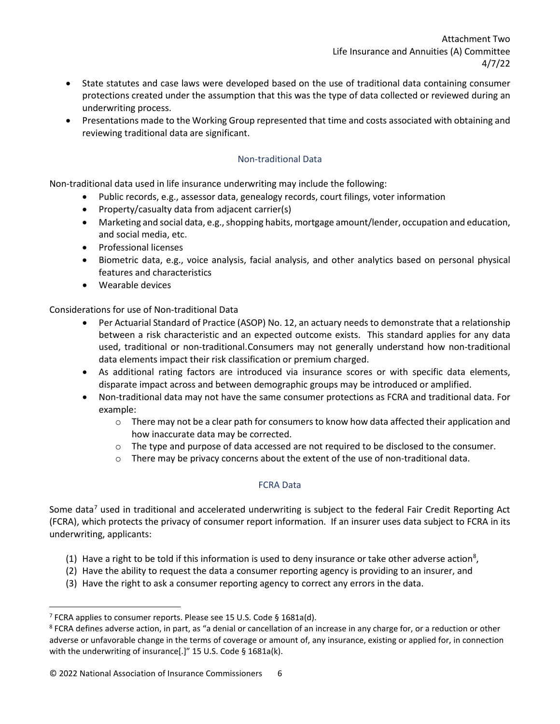- State statutes and case laws were developed based on the use of traditional data containing consumer protections created under the assumption that this was the type of data collected or reviewed during an underwriting process.
- Presentations made to the Working Group represented that time and costs associated with obtaining and reviewing traditional data are significant.

# Non-traditional Data

Non-traditional data used in life insurance underwriting may include the following:

- Public records, e.g., assessor data, genealogy records, court filings, voter information
- Property/casualty data from adjacent carrier(s)
- Marketing and social data, e.g., shopping habits, mortgage amount/lender, occupation and education, and social media, etc.
- Professional licenses
- Biometric data, e.g., voice analysis, facial analysis, and other analytics based on personal physical features and characteristics
- Wearable devices

Considerations for use of Non-traditional Data

- Per Actuarial Standard of Practice (ASOP) No. 12, an actuary needs to demonstrate that a relationship between a risk characteristic and an expected outcome exists. This standard applies for any data used, traditional or non-traditional.[Co](#page-5-0)nsumers may not generally understand how non-traditional data elements impact their risk classification or premium charged.
- As additional rating factors are introduced via insurance scores or with specific data elements, disparate impact across and between demographic groups may be introduced or amplified.
- Non-traditional data may not have the same consumer protections as FCRA and traditional data. For example:
	- $\circ$  There may not be a clear path for consumers to know how data affected their application and how inaccurate data may be corrected.
	- $\circ$  The type and purpose of data accessed are not required to be disclosed to the consumer.
	- $\circ$  There may be privacy concerns about the extent of the use of non-traditional data.

## FCRA Data

Some data<sup>[7](#page-6-0)</sup> used in traditional and accelerated underwriting is subject to the federal Fair Credit Reporting Act (FCRA), which protects the privacy of consumer report information. If an insurer uses data subject to FCRA in its underwriting, applicants:

- (1) Have a right to be told if this information is used to deny insurance or take other adverse action<sup>8</sup>,
- (2) Have the ability to request the data a consumer reporting agency is providing to an insurer, and
- (3) Have the right to ask a consumer reporting agency to correct any errors in the data.

<span id="page-5-0"></span><sup>&</sup>lt;sup>7</sup> FCRA applies to consumer reports. Please see 15 U.S. Code § 1681a(d).<br><sup>8</sup> FCRA defines adverse action, in part, as "a denial or cancellation of an increase in any charge for, or a reduction or other adverse or unfavorable change in the terms of coverage or amount of, any insurance, existing or applied for, in connection with the underwriting of insurance[.]" 15 U.S. Code § 1681a(k).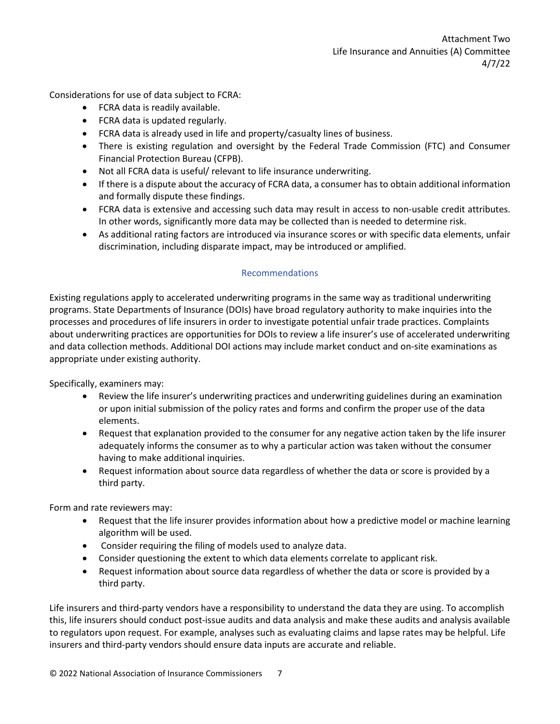Considerations for use of data subject to FCRA:

- FCRA data is readily available.
- FCRA data is updated regularly.
- FCRA data is already used in life and property/casualty lines of business.
- There is existing regulation and oversight by the Federal Trade Commission (FTC) and Consumer Financial Protection Bureau (CFPB).
- Not all FCRA data is useful/ relevant to life insurance underwriting.
- If there is a dispute about the accuracy of FCRA data, a consumer has to obtain additional information and formally dispute these findings.
- FCRA data is extensive and accessing such data may result in access to non-usable credit attributes. In other words, significantly more data may be collected than is needed to determine risk.
- As additional rating factors are introduced via insurance scores or with specific data elements, unfair discrimination, including disparate impact, may be introduced or amplified.

## Recommendations

Existing regulations apply to accelerated underwriting programs in the same way as traditional underwriting programs. State Departments of Insurance (DOIs) have broad regulatory authority to make inquiries into the processes and procedures of life insurers in order to investigate potential unfair trade practices. Complaints about underwriting practices are opportunities for DOIs to review a life insurer's use of accelerated underwriting and data collection methods. Additional DOI actions may include market conduct and on-site examinations as appropriate under existing authority.

Specifically, examiners may:

- Review the life insurer's underwriting practices and underwriting guidelines during an examination or upon initial submission of the policy rates and forms and confirm the proper use of the data elements.
- Request that explanation provided to the consumer for any negative action taken by the life insurer adequately informs the consumer as to why a particular action was taken without the consumer having to make additional inquiries.
- Request information about source data regardless of whether the data or score is provided by a third party.

Form and rate reviewers may:

- Request that the life insurer provides information about how a predictive model or machine learning algorithm will be used.
- Consider requiring the filing of models used to analyze data.
- Consider questioning the extent to which data elements correlate to applicant risk.
- Request information about source data regardless of whether the data or score is provided by a third party.

<span id="page-6-1"></span><span id="page-6-0"></span>Life insurers and third-party vendors have a responsibility to understand the data they are using. To accomplish this, life insurers should conduct post-issue audits and data analysis and make these audits and analysis available to regulators upon request. For example, analyses such as evaluating claims and lapse rates may be helpful. Life insurers and third-party vendors should ensure data inputs are accurate and reliable.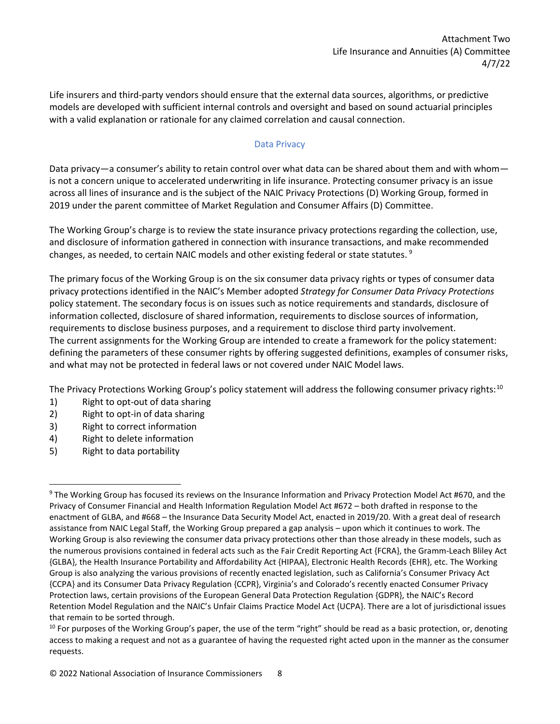Life insurers and third-party vendors should ensure that the external data sources, algorithms, or predictive models are developed with sufficient internal controls and oversight and based on sound actuarial principles with a valid explanation or rationale for any claimed correlation and causal connection.

### Data Privacy

Data privacy—a consumer's ability to retain control over what data can be shared about them and with whom is not a concern unique to accelerated underwriting in life insurance. Protecting consumer privacy is an issue across all lines of insurance and is the subject of the NAIC Privacy Protections (D) Working Group, formed in 2019 under the parent committee of Market Regulation and Consumer Affairs (D) Committee.

The Working Group's charge is to review the state insurance privacy protections regarding the collection, use, and disclosure of information gathered in connection with insurance transactions, and make recommended changes, as needed, to certain NAIC models and other existing federal or state statutes.  $9$ 

The primary focus of the Working Group is on the six consumer data privacy rights or types of consumer data privacy protections identified in the NAIC's Member adopted *Strategy for Consumer Data Privacy Protections* policy statement. The secondary focus is on issues such as notice requirements and standards, disclosure of information collected, disclosure of shared information, requirements to disclose sources of information, requirements to disclose business purposes, and a requirement to disclose third party involvement. The current assignments for the Working Group are intended to create a framework for the policy statement: defining the parameters of these consumer rights by offering suggested definitions, examples of consumer risks, and what may not be protected in federal laws or not covered under NAIC Model laws.

The Privacy Protections Working Group's policy statement will address the following consumer privacy rights:<sup>[10](#page-8-0)</sup>

- 1) Right to opt-out of data sharing
- 2) Right to opt-in of data sharing
- 3) Right to correct information
- 4) Right to delete information
- 5) Right to data portability

<span id="page-7-0"></span><sup>9</sup> The Working Group has focused its reviews on the Insurance Information and Privacy Protection Model Act #670, and the Privacy of Consumer Financial and Health Information Regulation Model Act #672 – both drafted in response to the enactment of GLBA, and #668 – the Insurance Data Security Model Act, enacted in 2019/20. With a great deal of research assistance from NAIC Legal Staff, the Working Group prepared a gap analysis – upon which it continues to work. The Working Group is also reviewing the consumer data privacy protections other than those already in these models, such as the numerous provisions contained in federal acts such as the Fair Credit Reporting Act {FCRA}, the Gramm-Leach Bliley Act {GLBA}, the Health Insurance Portability and Affordability Act {HIPAA}, Electronic Health Records {EHR}, etc. The Working Group is also analyzing the various provisions of recently enacted legislation, such as California's Consumer Privacy Act {CCPA} and its Consumer Data Privacy Regulation {CCPR}, Virginia's and Colorado's recently enacted Consumer Privacy Protection laws, certain provisions of the European General Data Protection Regulation {GDPR}, the NAIC's Record Retention Model Regulation and the NAIC's Unfair Claims Practice Model Act {UCPA}. There are a lot of jurisdictional issues that remain to be sorted through.

 $10$  For purposes of the Working Group's paper, the use of the term "right" should be read as a basic protection, or, denoting access to making a request and not as a guarantee of having the requested right acted upon in the manner as the consumer requests.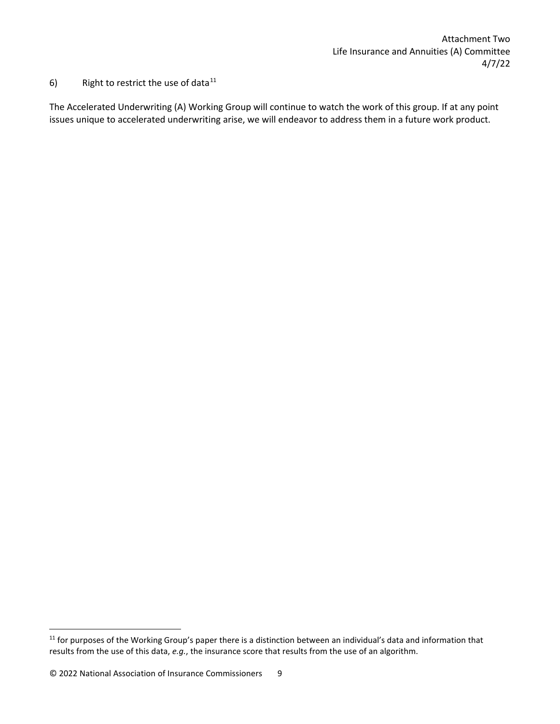6) Right to restrict the use of data $11$ 

The Accelerated Underwriting (A) Working Group will continue to watch the work of this group. If at any point issues unique to accelerated underwriting arise, we will endeavor to address them in a future work product.

<span id="page-8-1"></span><span id="page-8-0"></span> $11$  for purposes of the Working Group's paper there is a distinction between an individual's data and information that results from the use of this data, *e.g.*, the insurance score that results from the use of an algorithm.

<sup>© 2022</sup> National Association of Insurance Commissioners 9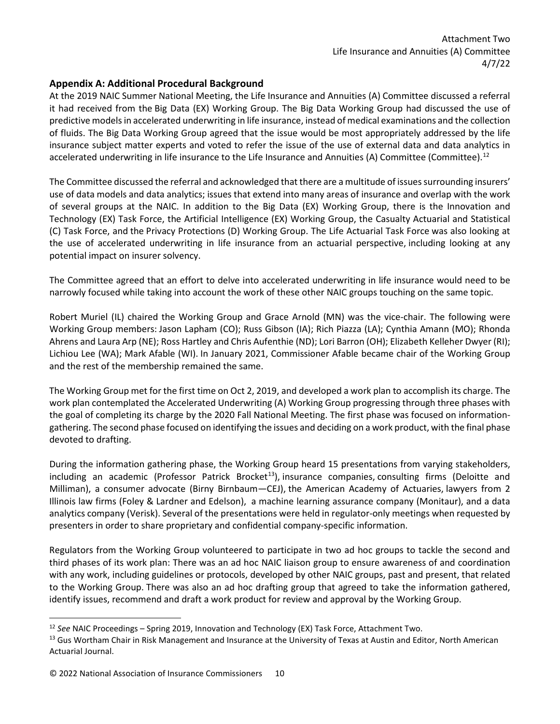# **Appendix A: Additional Procedural Background**

At the 2019 NAIC Summer National Meeting, the Life Insurance and Annuities (A) Committee discussed a referral it had received from the Big Data (EX) Working Group. The Big Data Working Group had discussed the use of predictive models in accelerated underwriting in life insurance, instead of medical examinations and the collection of fluids. The Big Data Working Group agreed that the issue would be most appropriately addressed by the life insurance subject matter experts and voted to refer the issue of the use of external data and data analytics in accelerated underwriting in life insurance to the Life Insurance and Annuities (A) Committee (Committee).<sup>[12](#page-9-0)</sup>

The Committee discussed the referral and acknowledged that there are a multitude of issues surrounding insurers' use of data models and data analytics; issues that extend into many areas of insurance and overlap with the work of several groups at the NAIC. In addition to the Big Data (EX) Working Group, there is the Innovation and Technology (EX) Task Force, the Artificial Intelligence (EX) Working Group, the Casualty Actuarial and Statistical (C) Task Force, and the Privacy Protections (D) Working Group. The Life Actuarial Task Force was also looking at the use of accelerated underwriting in life insurance from an actuarial perspective, including looking at any potential impact on insurer solvency.

The Committee agreed that an effort to delve into accelerated underwriting in life insurance would need to be narrowly focused while taking into account the work of these other NAIC groups touching on the same topic.

Robert Muriel (IL) chaired the Working Group and Grace Arnold (MN) was the vice-chair. The following were Working Group members: Jason Lapham (CO); Russ Gibson (IA); Rich Piazza (LA); Cynthia Amann (MO); Rhonda Ahrens and Laura Arp (NE); Ross Hartley and Chris Aufenthie (ND); Lori Barron (OH); Elizabeth Kelleher Dwyer (RI); Lichiou Lee (WA); Mark Afable (WI). In January 2021, Commissioner Afable became chair of the Working Group and the rest of the membership remained the same.

The Working Group met for the first time on Oct 2, 2019, and developed a work plan to accomplish its charge. The work plan contemplated the Accelerated Underwriting (A) Working Group progressing through three phases with the goal of completing its charge by the 2020 Fall National Meeting. The first phase was focused on informationgathering. The second phase focused on identifying the issues and deciding on a work product, with the final phase devoted to drafting.

During the information gathering phase, the Working Group heard 15 presentations from varying stakeholders, including an academic (Professor Patrick Brocket<sup>[13](#page-9-1)</sup>), insurance companies, consulting firms (Deloitte and Milliman), a consumer advocate (Birny Birnbaum—CEJ), the American Academy of Actuaries, lawyers from 2 Illinois law firms (Foley & Lardner and Edelson), a machine learning assurance company (Monitaur), and a data analytics company (Verisk). Several of the presentations were held in regulator-only meetings when requested by presenters in order to share proprietary and confidential company-specific information.

Regulators from the Working Group volunteered to participate in two ad hoc groups to tackle the second and third phases of its work plan: There was an ad hoc NAIC liaison group to ensure awareness of and coordination with any work, including guidelines or protocols, developed by other NAIC groups, past and present, that related to the Working Group. There was also an ad hoc drafting group that agreed to take the information gathered, identify issues, recommend and draft a work product for review and approval by the Working Group.

<span id="page-9-0"></span><sup>12</sup> *See* NAIC Proceedings – Spring 2019, Innovation and Technology (EX) Task Force, Attachment Two.

<span id="page-9-1"></span><sup>&</sup>lt;sup>13</sup> Gus Wortham Chair in Risk Management and Insurance at the University of Texas at Austin and Editor, North American Actuarial Journal.

<sup>© 2022</sup> National Association of Insurance Commissioners 10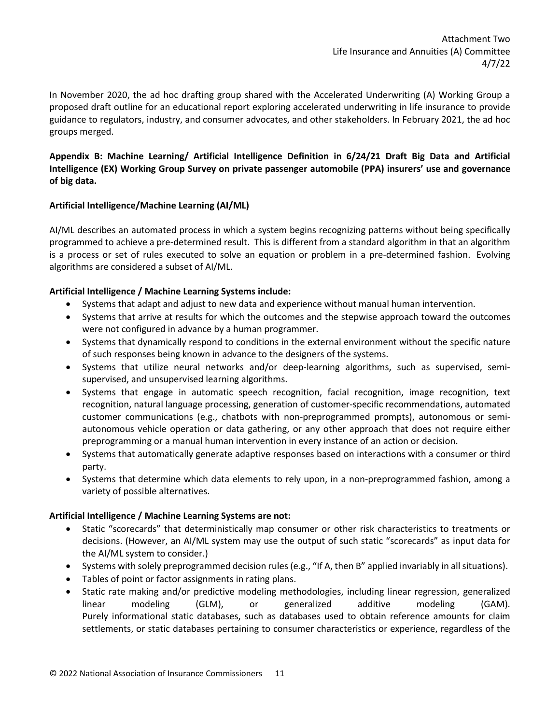In November 2020, the ad hoc drafting group shared with the Accelerated Underwriting (A) Working Group a proposed draft outline for an educational report exploring accelerated underwriting in life insurance to provide guidance to regulators, industry, and consumer advocates, and other stakeholders. In February 2021, the ad hoc groups merged.

**Appendix B: Machine Learning/ Artificial Intelligence Definition in 6/24/21 Draft Big Data and Artificial Intelligence (EX) Working Group Survey on private passenger automobile (PPA) insurers' use and governance of big data.**

## **Artificial Intelligence/Machine Learning (AI/ML)**

AI/ML describes an automated process in which a system begins recognizing patterns without being specifically programmed to achieve a pre-determined result. This is different from a standard algorithm in that an algorithm is a process or set of rules executed to solve an equation or problem in a pre-determined fashion. Evolving algorithms are considered a subset of AI/ML.

## **Artificial Intelligence / Machine Learning Systems include:**

- Systems that adapt and adjust to new data and experience without manual human intervention.
- Systems that arrive at results for which the outcomes and the stepwise approach toward the outcomes were not configured in advance by a human programmer.
- Systems that dynamically respond to conditions in the external environment without the specific nature of such responses being known in advance to the designers of the systems.
- Systems that utilize neural networks and/or deep-learning algorithms, such as supervised, semisupervised, and unsupervised learning algorithms.
- Systems that engage in automatic speech recognition, facial recognition, image recognition, text recognition, natural language processing, generation of customer-specific recommendations, automated customer communications (e.g., chatbots with non-preprogrammed prompts), autonomous or semiautonomous vehicle operation or data gathering, or any other approach that does not require either preprogramming or a manual human intervention in every instance of an action or decision.
- Systems that automatically generate adaptive responses based on interactions with a consumer or third party.
- Systems that determine which data elements to rely upon, in a non-preprogrammed fashion, among a variety of possible alternatives.

## **Artificial Intelligence / Machine Learning Systems are not:**

- Static "scorecards" that deterministically map consumer or other risk characteristics to treatments or decisions. (However, an AI/ML system may use the output of such static "scorecards" as input data for the AI/ML system to consider.)
- Systems with solely preprogrammed decision rules (e.g., "If A, then B" applied invariably in all situations).
- Tables of point or factor assignments in rating plans.
- Static rate making and/or predictive modeling methodologies, including linear regression, generalized linear modeling (GLM), or generalized additive modeling (GAM). Purely informational static databases, such as databases used to obtain reference amounts for claim settlements, or static databases pertaining to consumer characteristics or experience, regardless of the